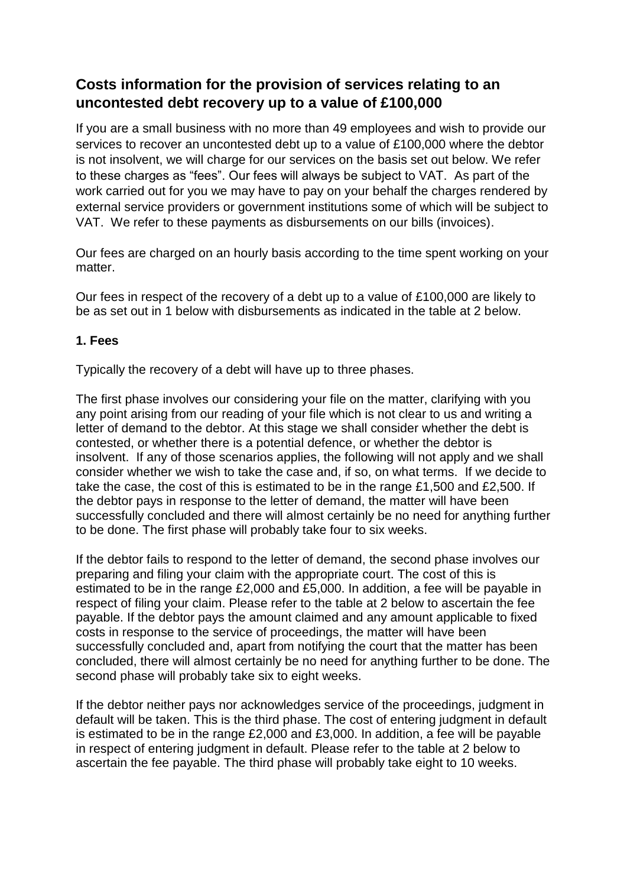## **Costs information for the provision of services relating to an uncontested debt recovery up to a value of £100,000**

If you are a small business with no more than 49 employees and wish to provide our services to recover an uncontested debt up to a value of £100,000 where the debtor is not insolvent, we will charge for our services on the basis set out below. We refer to these charges as "fees". Our fees will always be subject to VAT. As part of the work carried out for you we may have to pay on your behalf the charges rendered by external service providers or government institutions some of which will be subject to VAT. We refer to these payments as disbursements on our bills (invoices).

Our fees are charged on an hourly basis according to the time spent working on your matter

Our fees in respect of the recovery of a debt up to a value of £100,000 are likely to be as set out in 1 below with disbursements as indicated in the table at 2 below.

## **1. Fees**

Typically the recovery of a debt will have up to three phases.

The first phase involves our considering your file on the matter, clarifying with you any point arising from our reading of your file which is not clear to us and writing a letter of demand to the debtor. At this stage we shall consider whether the debt is contested, or whether there is a potential defence, or whether the debtor is insolvent. If any of those scenarios applies, the following will not apply and we shall consider whether we wish to take the case and, if so, on what terms. If we decide to take the case, the cost of this is estimated to be in the range £1,500 and £2,500. If the debtor pays in response to the letter of demand, the matter will have been successfully concluded and there will almost certainly be no need for anything further to be done. The first phase will probably take four to six weeks.

If the debtor fails to respond to the letter of demand, the second phase involves our preparing and filing your claim with the appropriate court. The cost of this is estimated to be in the range £2,000 and £5,000. In addition, a fee will be payable in respect of filing your claim. Please refer to the table at 2 below to ascertain the fee payable. If the debtor pays the amount claimed and any amount applicable to fixed costs in response to the service of proceedings, the matter will have been successfully concluded and, apart from notifying the court that the matter has been concluded, there will almost certainly be no need for anything further to be done. The second phase will probably take six to eight weeks.

If the debtor neither pays nor acknowledges service of the proceedings, judgment in default will be taken. This is the third phase. The cost of entering judgment in default is estimated to be in the range £2,000 and £3,000. In addition, a fee will be payable in respect of entering judgment in default. Please refer to the table at 2 below to ascertain the fee payable. The third phase will probably take eight to 10 weeks.